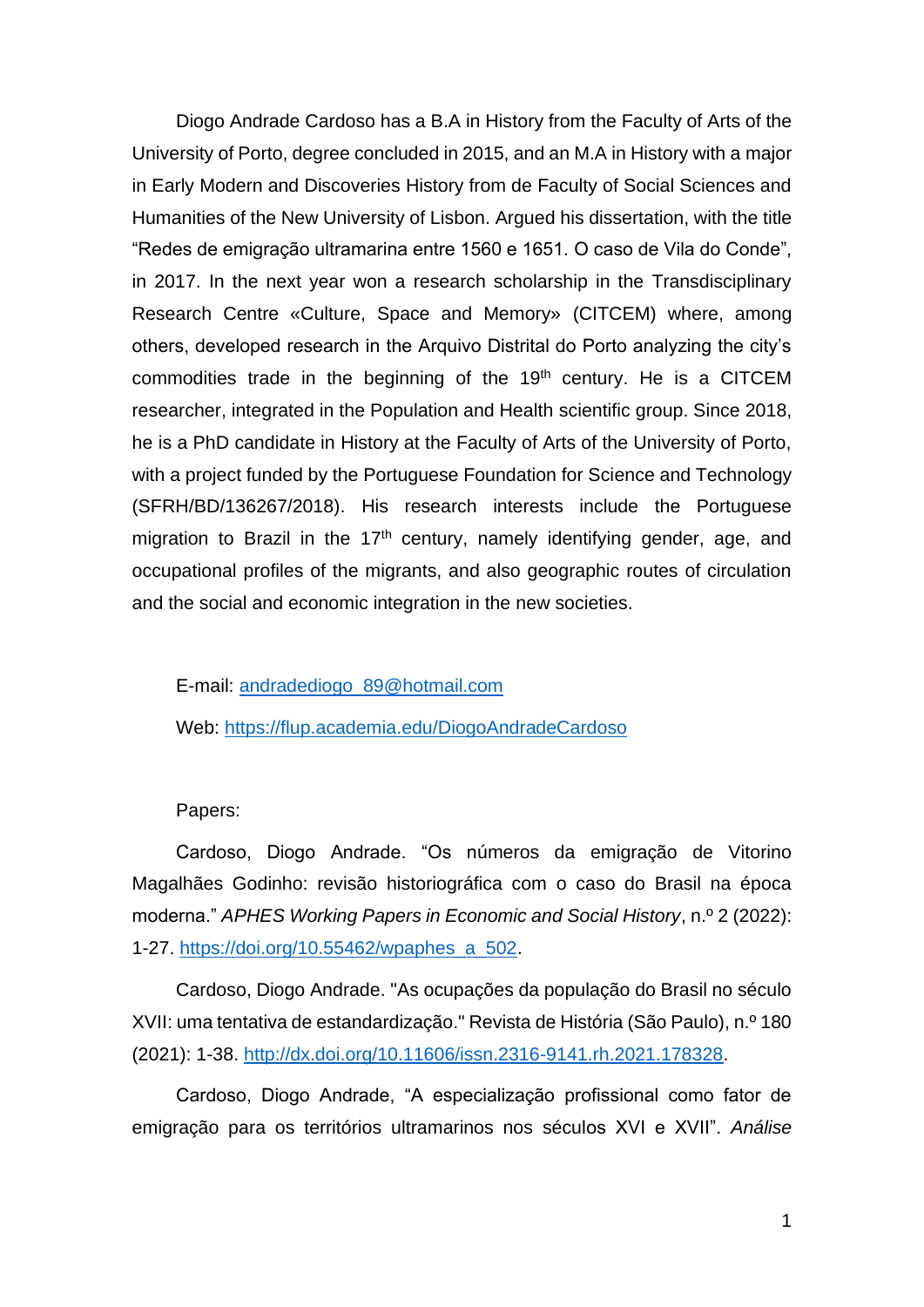Diogo Andrade Cardoso has a B.A in History from the Faculty of Arts of the University of Porto, degree concluded in 2015, and an M.A in History with a major in Early Modern and Discoveries History from de Faculty of Social Sciences and Humanities of the New University of Lisbon. Argued his dissertation, with the title "Redes de emigração ultramarina entre 1560 e 1651. O caso de Vila do Conde", in 2017. In the next year won a research scholarship in the Transdisciplinary Research Centre «Culture, Space and Memory» (CITCEM) where, among others, developed research in the Arquivo Distrital do Porto analyzing the city's commodities trade in the beginning of the  $19<sup>th</sup>$  century. He is a CITCEM researcher, integrated in the Population and Health scientific group. Since 2018, he is a PhD candidate in History at the Faculty of Arts of the University of Porto, with a project funded by the Portuguese Foundation for Science and Technology (SFRH/BD/136267/2018). His research interests include the Portuguese migration to Brazil in the  $17<sup>th</sup>$  century, namely identifying gender, age, and occupational profiles of the migrants, and also geographic routes of circulation and the social and economic integration in the new societies.

E-mail: [andradediogo\\_89@hotmail.com](mailto:andradediogo_89@hotmail.com)

Web: <https://flup.academia.edu/DiogoAndradeCardoso>

## Papers:

Cardoso, Diogo Andrade. "Os números da emigração de Vitorino Magalhães Godinho: revisão historiográfica com o caso do Brasil na época moderna." *APHES Working Papers in Economic and Social History*, n.º 2 (2022): 1-27. [https://doi.org/10.55462/wpaphes\\_a\\_502.](https://doi.org/10.55462/wpaphes_a_502)

Cardoso, Diogo Andrade. "As ocupações da população do Brasil no século XVII: uma tentativa de estandardização." Revista de História (São Paulo), n.º 180 (2021): 1-38. [http://dx.doi.org/10.11606/issn.2316-9141.rh.2021.178328.](http://dx.doi.org/10.11606/issn.2316-9141.rh.2021.178328)

Cardoso, Diogo Andrade, "A especialização profissional como fator de emigração para os territórios ultramarinos nos séculos XVI e XVII". *Análise*